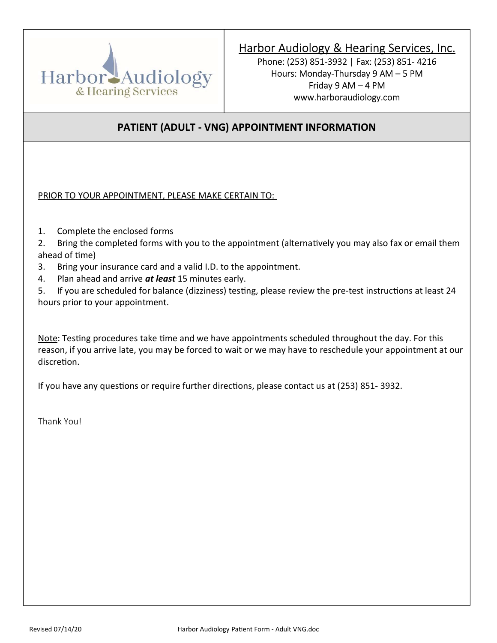

Phone: (253) 851-3932 | Fax: (253) 851- 4216 Hours: Monday-Thursday 9 AM – 5 PM Friday 9 AM – 4 PM www.harboraudiology.com

## PATIENT (ADULT - VNG) APPOINTMENT INFORMATION

PRIOR TO YOUR APPOINTMENT, PLEASE MAKE CERTAIN TO:

1. Complete the enclosed forms

2. Bring the completed forms with you to the appointment (alternatively you may also fax or email them ahead of time)

- 3. Bring your insurance card and a valid I.D. to the appointment.
- 4. Plan ahead and arrive at least 15 minutes early.

5. If you are scheduled for balance (dizziness) testing, please review the pre-test instructions at least 24 hours prior to your appointment.

Note: Testing procedures take time and we have appointments scheduled throughout the day. For this reason, if you arrive late, you may be forced to wait or we may have to reschedule your appointment at our discretion.

If you have any questions or require further directions, please contact us at (253) 851-3932.

Thank You!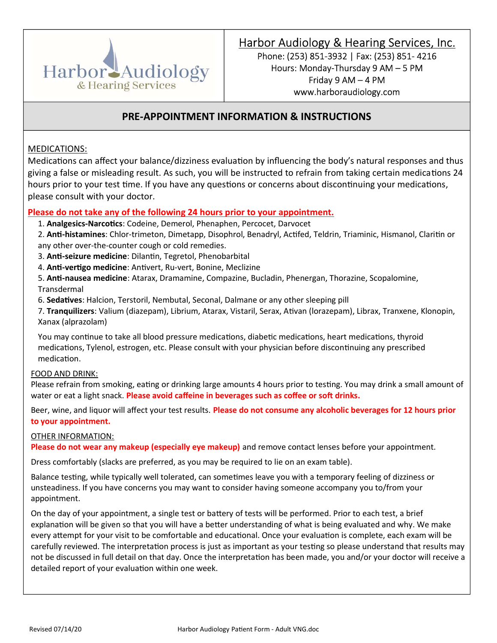

Phone: (253) 851-3932 | Fax: (253) 851- 4216 Hours: Monday-Thursday 9 AM – 5 PM Friday 9 AM – 4 PM www.harboraudiology.com

## PRE-APPOINTMENT INFORMATION & INSTRUCTIONS

### MEDICATIONS:

Medications can affect your balance/dizziness evaluation by influencing the body's natural responses and thus giving a false or misleading result. As such, you will be instructed to refrain from taking certain medications 24 hours prior to your test time. If you have any questions or concerns about discontinuing your medications, please consult with your doctor.

#### Please do not take any of the following 24 hours prior to your appointment.

1. Analgesics-Narcotics: Codeine, Demerol, Phenaphen, Percocet, Darvocet

2. Anti-histamines: Chlor-trimeton, Dimetapp, Disophrol, Benadryl, Actifed, Teldrin, Triaminic, Hismanol, Claritin or any other over-the-counter cough or cold remedies.

- 3. Anti-seizure medicine: Dilantin, Tegretol, Phenobarbital
- 4. Anti-vertigo medicine: Antivert, Ru-vert, Bonine, Meclizine
- 5. **Anti-nausea medicine**: Atarax, Dramamine, Compazine, Bucladin, Phenergan, Thorazine, Scopalomine, Transdermal
- 6. Sedatives: Halcion, Terstoril, Nembutal, Seconal, Dalmane or any other sleeping pill

7. Tranquilizers: Valium (diazepam), Librium, Atarax, Vistaril, Serax, Ativan (lorazepam), Librax, Tranxene, Klonopin, Xanax (alprazolam)

You may continue to take all blood pressure medications, diabetic medications, heart medications, thyroid medications, Tylenol, estrogen, etc. Please consult with your physician before discontinuing any prescribed medication.

#### FOOD AND DRINK:

Please refrain from smoking, eating or drinking large amounts 4 hours prior to testing. You may drink a small amount of water or eat a light snack. Please avoid caffeine in beverages such as coffee or soft drinks.

Beer, wine, and liquor will affect your test results. Please do not consume any alcoholic beverages for 12 hours prior to your appointment.

#### OTHER INFORMATION:

Please do not wear any makeup (especially eye makeup) and remove contact lenses before your appointment.

Dress comfortably (slacks are preferred, as you may be required to lie on an exam table).

Balance testing, while typically well tolerated, can sometimes leave you with a temporary feeling of dizziness or unsteadiness. If you have concerns you may want to consider having someone accompany you to/from your appointment.

On the day of your appointment, a single test or battery of tests will be performed. Prior to each test, a brief explanation will be given so that you will have a better understanding of what is being evaluated and why. We make every attempt for your visit to be comfortable and educational. Once your evaluation is complete, each exam will be carefully reviewed. The interpretation process is just as important as your testing so please understand that results may not be discussed in full detail on that day. Once the interpretation has been made, you and/or your doctor will receive a detailed report of your evaluation within one week.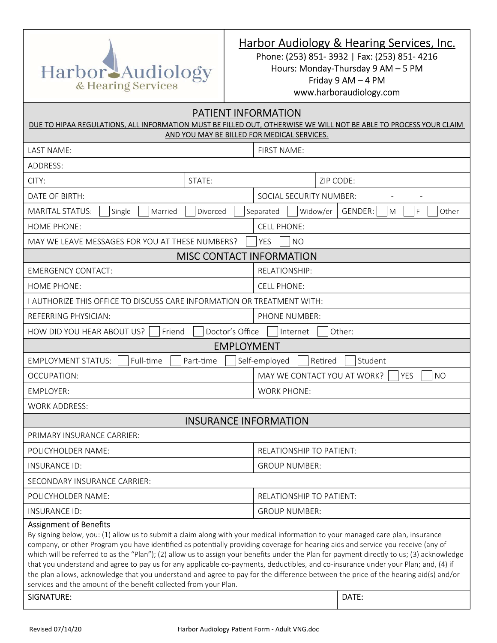

Phone: (253) 851- 3932 | Fax: (253) 851- 4216 Hours: Monday-Thursday 9 AM – 5 PM Friday 9 AM – 4 PM www.harboraudiology.com

| PATIENT INFORMATION<br>DUE TO HIPAA REGULATIONS, ALL INFORMATION MUST BE FILLED OUT, OTHERWISE WE WILL NOT BE ABLE TO PROCESS YOUR CLAIM<br>AND YOU MAY BE BILLED FOR MEDICAL SERVICES.                                                                                                                                                                                                                                                                                                                                                                                                                                                                                                                                                                                                           |                                                        |  |  |  |  |
|---------------------------------------------------------------------------------------------------------------------------------------------------------------------------------------------------------------------------------------------------------------------------------------------------------------------------------------------------------------------------------------------------------------------------------------------------------------------------------------------------------------------------------------------------------------------------------------------------------------------------------------------------------------------------------------------------------------------------------------------------------------------------------------------------|--------------------------------------------------------|--|--|--|--|
| LAST NAME:                                                                                                                                                                                                                                                                                                                                                                                                                                                                                                                                                                                                                                                                                                                                                                                        | FIRST NAME:                                            |  |  |  |  |
| ADDRESS:                                                                                                                                                                                                                                                                                                                                                                                                                                                                                                                                                                                                                                                                                                                                                                                          |                                                        |  |  |  |  |
| CITY:<br>STATE:                                                                                                                                                                                                                                                                                                                                                                                                                                                                                                                                                                                                                                                                                                                                                                                   | ZIP CODE:                                              |  |  |  |  |
| DATE OF BIRTH:                                                                                                                                                                                                                                                                                                                                                                                                                                                                                                                                                                                                                                                                                                                                                                                    | SOCIAL SECURITY NUMBER:                                |  |  |  |  |
| <b>MARITAL STATUS:</b><br>Divorced<br>Single<br>Married                                                                                                                                                                                                                                                                                                                                                                                                                                                                                                                                                                                                                                                                                                                                           | Widow/er<br>GENDER:<br>Other<br>Separated<br>M<br>F    |  |  |  |  |
| <b>HOME PHONE:</b>                                                                                                                                                                                                                                                                                                                                                                                                                                                                                                                                                                                                                                                                                                                                                                                | <b>CELL PHONE:</b>                                     |  |  |  |  |
| MAY WE LEAVE MESSAGES FOR YOU AT THESE NUMBERS?                                                                                                                                                                                                                                                                                                                                                                                                                                                                                                                                                                                                                                                                                                                                                   | <b>NO</b><br><b>YES</b>                                |  |  |  |  |
| <b>MISC CONTACT INFORMATION</b>                                                                                                                                                                                                                                                                                                                                                                                                                                                                                                                                                                                                                                                                                                                                                                   |                                                        |  |  |  |  |
| <b>EMERGENCY CONTACT:</b>                                                                                                                                                                                                                                                                                                                                                                                                                                                                                                                                                                                                                                                                                                                                                                         | RELATIONSHIP:                                          |  |  |  |  |
| <b>HOME PHONE:</b>                                                                                                                                                                                                                                                                                                                                                                                                                                                                                                                                                                                                                                                                                                                                                                                | <b>CELL PHONE:</b>                                     |  |  |  |  |
| I AUTHORIZE THIS OFFICE TO DISCUSS CARE INFORMATION OR TREATMENT WITH:                                                                                                                                                                                                                                                                                                                                                                                                                                                                                                                                                                                                                                                                                                                            |                                                        |  |  |  |  |
| REFERRING PHYSICIAN:                                                                                                                                                                                                                                                                                                                                                                                                                                                                                                                                                                                                                                                                                                                                                                              | PHONE NUMBER:                                          |  |  |  |  |
| Doctor's Office<br>HOW DID YOU HEAR ABOUT US?<br>Friend                                                                                                                                                                                                                                                                                                                                                                                                                                                                                                                                                                                                                                                                                                                                           | Other:<br>Internet                                     |  |  |  |  |
| <b>EMPLOYMENT</b>                                                                                                                                                                                                                                                                                                                                                                                                                                                                                                                                                                                                                                                                                                                                                                                 |                                                        |  |  |  |  |
| <b>EMPLOYMENT STATUS:</b><br>Full-time<br>Part-time                                                                                                                                                                                                                                                                                                                                                                                                                                                                                                                                                                                                                                                                                                                                               | Self-employed<br>Student<br>Retired                    |  |  |  |  |
| OCCUPATION:                                                                                                                                                                                                                                                                                                                                                                                                                                                                                                                                                                                                                                                                                                                                                                                       | MAY WE CONTACT YOU AT WORK?<br><b>YES</b><br><b>NO</b> |  |  |  |  |
| <b>EMPLOYER:</b>                                                                                                                                                                                                                                                                                                                                                                                                                                                                                                                                                                                                                                                                                                                                                                                  | <b>WORK PHONE:</b>                                     |  |  |  |  |
| <b>WORK ADDRESS:</b>                                                                                                                                                                                                                                                                                                                                                                                                                                                                                                                                                                                                                                                                                                                                                                              |                                                        |  |  |  |  |
| <b>INSURANCE INFORMATION</b>                                                                                                                                                                                                                                                                                                                                                                                                                                                                                                                                                                                                                                                                                                                                                                      |                                                        |  |  |  |  |
| PRIMARY INSURANCE CARRIER:                                                                                                                                                                                                                                                                                                                                                                                                                                                                                                                                                                                                                                                                                                                                                                        |                                                        |  |  |  |  |
| POLICYHOLDER NAME:                                                                                                                                                                                                                                                                                                                                                                                                                                                                                                                                                                                                                                                                                                                                                                                | RELATIONSHIP TO PATIENT:                               |  |  |  |  |
| INSURANCE ID:                                                                                                                                                                                                                                                                                                                                                                                                                                                                                                                                                                                                                                                                                                                                                                                     | <b>GROUP NUMBER:</b>                                   |  |  |  |  |
| SECONDARY INSURANCE CARRIER:                                                                                                                                                                                                                                                                                                                                                                                                                                                                                                                                                                                                                                                                                                                                                                      |                                                        |  |  |  |  |
| POLICYHOLDER NAME:                                                                                                                                                                                                                                                                                                                                                                                                                                                                                                                                                                                                                                                                                                                                                                                | RELATIONSHIP TO PATIENT:                               |  |  |  |  |
| <b>INSURANCE ID:</b>                                                                                                                                                                                                                                                                                                                                                                                                                                                                                                                                                                                                                                                                                                                                                                              | <b>GROUP NUMBER:</b>                                   |  |  |  |  |
| <b>Assignment of Benefits</b><br>By signing below, you: (1) allow us to submit a claim along with your medical information to your managed care plan, insurance<br>company, or other Program you have identified as potentially providing coverage for hearing aids and service you receive (any of<br>which will be referred to as the "Plan"); (2) allow us to assign your benefits under the Plan for payment directly to us; (3) acknowledge<br>that you understand and agree to pay us for any applicable co-payments, deductibles, and co-insurance under your Plan; and, (4) if<br>the plan allows, acknowledge that you understand and agree to pay for the difference between the price of the hearing aid(s) and/or<br>services and the amount of the benefit collected from your Plan. |                                                        |  |  |  |  |
| <b>SIGNATURE:</b>                                                                                                                                                                                                                                                                                                                                                                                                                                                                                                                                                                                                                                                                                                                                                                                 | DATE:                                                  |  |  |  |  |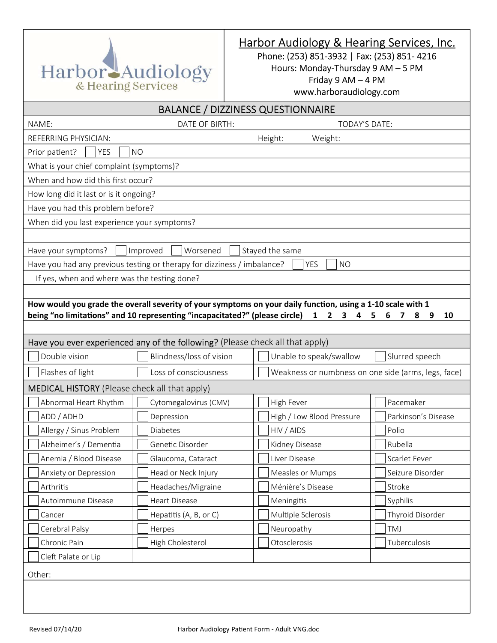

Phone: (253) 851-3932 | Fax: (253) 851- 4216 Hours: Monday-Thursday 9 AM – 5 PM Friday 9 AM – 4 PM www.harboraudiology.com

| <b>BALANCE / DIZZINESS QUESTIONNAIRE</b>        |                                                                               |                                                                                                                                                                                                  |                        |  |  |  |  |
|-------------------------------------------------|-------------------------------------------------------------------------------|--------------------------------------------------------------------------------------------------------------------------------------------------------------------------------------------------|------------------------|--|--|--|--|
| NAME:<br>DATE OF BIRTH:<br><b>TODAY'S DATE:</b> |                                                                               |                                                                                                                                                                                                  |                        |  |  |  |  |
| REFERRING PHYSICIAN:                            |                                                                               |                                                                                                                                                                                                  |                        |  |  |  |  |
| <b>YES</b><br>Prior patient?                    | <b>NO</b>                                                                     |                                                                                                                                                                                                  |                        |  |  |  |  |
| What is your chief complaint (symptoms)?        |                                                                               |                                                                                                                                                                                                  |                        |  |  |  |  |
| When and how did this first occur?              |                                                                               |                                                                                                                                                                                                  |                        |  |  |  |  |
| How long did it last or is it ongoing?          |                                                                               |                                                                                                                                                                                                  |                        |  |  |  |  |
| Have you had this problem before?               |                                                                               |                                                                                                                                                                                                  |                        |  |  |  |  |
| When did you last experience your symptoms?     |                                                                               |                                                                                                                                                                                                  |                        |  |  |  |  |
|                                                 |                                                                               |                                                                                                                                                                                                  |                        |  |  |  |  |
| Have your symptoms?                             | Improved<br>Worsened                                                          | Stayed the same                                                                                                                                                                                  |                        |  |  |  |  |
|                                                 | Have you had any previous testing or therapy for dizziness / imbalance?       | <b>YES</b><br><b>NO</b>                                                                                                                                                                          |                        |  |  |  |  |
| If yes, when and where was the testing done?    |                                                                               |                                                                                                                                                                                                  |                        |  |  |  |  |
|                                                 |                                                                               |                                                                                                                                                                                                  |                        |  |  |  |  |
|                                                 | being "no limitations" and 10 representing "incapacitated?" (please circle)   | How would you grade the overall severity of your symptoms on your daily function, using a 1-10 scale with 1<br>$\mathbf{1}$<br>$2^{\circ}$<br>$\overline{\mathbf{3}}$<br>$\overline{\mathbf{A}}$ | 5<br>6<br>8<br>10<br>7 |  |  |  |  |
|                                                 |                                                                               |                                                                                                                                                                                                  | 9                      |  |  |  |  |
|                                                 | Have you ever experienced any of the following? (Please check all that apply) |                                                                                                                                                                                                  |                        |  |  |  |  |
| Double vision                                   | Blindness/loss of vision                                                      | Unable to speak/swallow                                                                                                                                                                          | Slurred speech         |  |  |  |  |
| Flashes of light                                | Loss of consciousness                                                         | Weakness or numbness on one side (arms, legs, face)                                                                                                                                              |                        |  |  |  |  |
| MEDICAL HISTORY (Please check all that apply)   |                                                                               |                                                                                                                                                                                                  |                        |  |  |  |  |
| Abnormal Heart Rhythm                           | Cytomegalovirus (CMV)                                                         | High Fever                                                                                                                                                                                       | Pacemaker              |  |  |  |  |
| ADD / ADHD                                      | Depression                                                                    | High / Low Blood Pressure                                                                                                                                                                        | Parkinson's Disease    |  |  |  |  |
| Allergy / Sinus Problem                         | <b>Diabetes</b>                                                               | HIV / AIDS                                                                                                                                                                                       | Polio                  |  |  |  |  |
| Alzheimer's / Dementia                          | Genetic Disorder                                                              | Kidney Disease                                                                                                                                                                                   | Rubella                |  |  |  |  |
| Anemia / Blood Disease                          | Glaucoma, Cataract                                                            | Liver Disease                                                                                                                                                                                    | Scarlet Fever          |  |  |  |  |
| Anxiety or Depression                           | Head or Neck Injury                                                           | Measles or Mumps                                                                                                                                                                                 | Seizure Disorder       |  |  |  |  |
| Arthritis                                       | Headaches/Migraine                                                            | Ménière's Disease                                                                                                                                                                                | Stroke                 |  |  |  |  |
| Autoimmune Disease                              | <b>Heart Disease</b>                                                          | Meningitis                                                                                                                                                                                       | Syphilis               |  |  |  |  |
| Cancer                                          | Hepatitis (A, B, or C)                                                        | Multiple Sclerosis                                                                                                                                                                               | Thyroid Disorder       |  |  |  |  |
| Cerebral Palsy                                  | Herpes                                                                        | Neuropathy                                                                                                                                                                                       | TMJ                    |  |  |  |  |
| Chronic Pain                                    | High Cholesterol                                                              | Otosclerosis                                                                                                                                                                                     | Tuberculosis           |  |  |  |  |
| Cleft Palate or Lip                             |                                                                               |                                                                                                                                                                                                  |                        |  |  |  |  |
|                                                 |                                                                               |                                                                                                                                                                                                  |                        |  |  |  |  |
| Other:                                          |                                                                               |                                                                                                                                                                                                  |                        |  |  |  |  |
|                                                 |                                                                               |                                                                                                                                                                                                  |                        |  |  |  |  |
|                                                 |                                                                               |                                                                                                                                                                                                  |                        |  |  |  |  |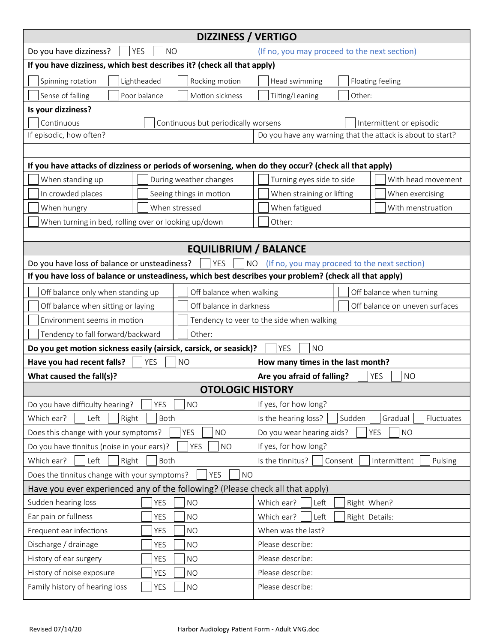|                                                                                                                         | <b>DIZZINESS / VERTIGO</b>          |                                                            |                          |  |  |  |
|-------------------------------------------------------------------------------------------------------------------------|-------------------------------------|------------------------------------------------------------|--------------------------|--|--|--|
| Do you have dizziness?<br><b>YES</b>                                                                                    | <b>NO</b>                           | (If no, you may proceed to the next section)               |                          |  |  |  |
| If you have dizziness, which best describes it? (check all that apply)                                                  |                                     |                                                            |                          |  |  |  |
| Spinning rotation<br>Lightheaded                                                                                        | Rocking motion                      | Head swimming                                              | Floating feeling         |  |  |  |
| Poor balance<br>Sense of falling                                                                                        | Motion sickness                     | Tilting/Leaning<br>Other:                                  |                          |  |  |  |
| Is your dizziness?                                                                                                      |                                     |                                                            |                          |  |  |  |
| Continuous                                                                                                              | Continuous but periodically worsens |                                                            | Intermittent or episodic |  |  |  |
| If episodic, how often?                                                                                                 |                                     | Do you have any warning that the attack is about to start? |                          |  |  |  |
|                                                                                                                         |                                     |                                                            |                          |  |  |  |
| If you have attacks of dizziness or periods of worsening, when do they occur? (check all that apply)                    |                                     |                                                            |                          |  |  |  |
| When standing up                                                                                                        | During weather changes              | Turning eyes side to side<br>With head movement            |                          |  |  |  |
| In crowded places<br>Seeing things in motion                                                                            |                                     | When straining or lifting<br>When exercising               |                          |  |  |  |
| When hungry                                                                                                             | When stressed                       | When fatigued                                              | With menstruation        |  |  |  |
| When turning in bed, rolling over or looking up/down                                                                    |                                     | Other:                                                     |                          |  |  |  |
|                                                                                                                         |                                     |                                                            |                          |  |  |  |
|                                                                                                                         | <b>EQUILIBRIUM / BALANCE</b>        |                                                            |                          |  |  |  |
| Do you have loss of balance or unsteadiness?                                                                            | <b>YES</b><br><b>NO</b>             | (If no, you may proceed to the next section)               |                          |  |  |  |
| If you have loss of balance or unsteadiness, which best describes your problem? (check all that apply)                  |                                     |                                                            |                          |  |  |  |
| Off balance only when standing up                                                                                       | Off balance when walking            |                                                            | Off balance when turning |  |  |  |
| Off balance in darkness<br>Off balance when sitting or laying                                                           |                                     | Off balance on uneven surfaces                             |                          |  |  |  |
| Environment seems in motion                                                                                             |                                     | Tendency to veer to the side when walking                  |                          |  |  |  |
| Tendency to fall forward/backward                                                                                       | Other:                              |                                                            |                          |  |  |  |
| Do you get motion sickness easily (airsick, carsick, or seasick)?                                                       |                                     | <b>YES</b><br><b>NO</b>                                    |                          |  |  |  |
| Have you had recent falls?                                                                                              | <b>YES</b><br><b>NO</b>             | How many times in the last month?                          |                          |  |  |  |
| What caused the fall(s)?                                                                                                |                                     | Are you afraid of falling?<br><b>YES</b><br><b>NO</b>      |                          |  |  |  |
| <b>OTOLOGIC HISTORY</b>                                                                                                 |                                     |                                                            |                          |  |  |  |
| Do you have difficulty hearing?                                                                                         | <b>YES</b><br><b>NO</b>             | If yes, for how long?                                      |                          |  |  |  |
| Which ear?<br>Left<br>Right                                                                                             | Both                                | Sudden<br>Is the hearing loss?                             | Gradual<br>Fluctuates    |  |  |  |
| Does this change with your symptoms?<br><b>YES</b><br><b>NO</b><br>Do you wear hearing aids?<br><b>YES</b><br><b>NO</b> |                                     |                                                            |                          |  |  |  |
| Do you have tinnitus (noise in your ears)?<br><b>YES</b><br>If yes, for how long?<br><b>NO</b>                          |                                     |                                                            |                          |  |  |  |
| Left<br>Right<br>Which ear?<br>Both<br>Is the tinnitus?<br>Consent<br>Intermittent<br>Pulsing                           |                                     |                                                            |                          |  |  |  |
| Does the tinnitus change with your symptoms?<br><b>YES</b><br><b>NO</b>                                                 |                                     |                                                            |                          |  |  |  |
| Have you ever experienced any of the following? (Please check all that apply)                                           |                                     |                                                            |                          |  |  |  |
| Sudden hearing loss                                                                                                     | <b>NO</b><br><b>YES</b>             | Which ear?<br>Left                                         | Right When?              |  |  |  |
| Ear pain or fullness                                                                                                    | <b>NO</b><br>YES                    | Left<br>Which ear?                                         | Right Details:           |  |  |  |
| Frequent ear infections                                                                                                 | <b>YES</b><br><b>NO</b>             | When was the last?                                         |                          |  |  |  |
| Discharge / drainage                                                                                                    | YES<br><b>NO</b>                    | Please describe:                                           |                          |  |  |  |
| History of ear surgery                                                                                                  | <b>YES</b><br><b>NO</b>             | Please describe:                                           |                          |  |  |  |
| History of noise exposure                                                                                               | <b>YES</b><br><b>NO</b>             | Please describe:                                           |                          |  |  |  |
| Family history of hearing loss                                                                                          | <b>YES</b><br><b>NO</b>             | Please describe:                                           |                          |  |  |  |